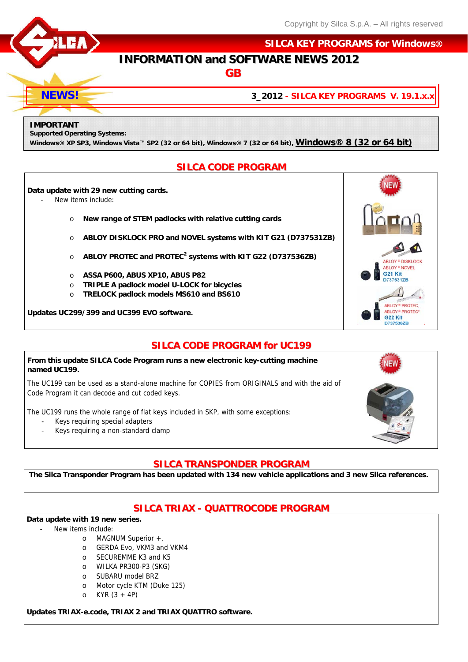

 **SILCA KEY PROGRAMS for Windows**

# **INFORMATION and SOFTWARE NEWS 2012**

**GB**

**3\_2012 - SILCA KEY PROGRAMS V. 19.1.x.x**

#### **IMPORTANT**

**NEWS!** 

**Supported Operating Systems:** 

**Windows® XP SP3, Windows Vista™ SP2 (32 or 64 bit), Windows® 7 (32 or 64 bit), Windows® 8 (32 or 64 bit)**

### **SILCA CODE PROGRAM**

#### **Data update with 29 new cutting cards.**

- New items include:
	- o **New range of STEM padlocks with relative cutting cards**
	- o **ABLOY DISKLOCK PRO and NOVEL systems with KIT G21 (D737531ZB)**
	- o **ABLOY PROTEC and PROTEC<sup>2</sup> systems with KIT G22 (D737536ZB)**
	- o **ASSA P600, ABUS XP10, ABUS P82**
	- o **TRIPLE A padlock model U-LOCK for bicycles**
	- o **TRELOCK padlock models MS610 and BS610**

**Updates UC299/399 and UC399 EVO software.** 

## **SILCA CODE PROGRAM for UC199**

#### **From this update SILCA Code Program runs a new electronic key-cutting machine named UC199.**

The UC199 can be used as a stand-alone machine for COPIES from ORIGINALS and with the aid of Code Program it can decode and cut coded keys.

The UC199 runs the whole range of flat keys included in SKP, with some exceptions:

- Keys requiring special adapters
	- Keys requiring a non-standard clamp



ABLOY<sup>®</sup> DISKLOC ABLOY® NOVEL G<sub>21</sub> Kit D737531ZB

## **SILCA TRANSPONDER PROGRAM**

**The Silca Transponder Program has been updated with 134 new vehicle applications and 3 new Silca references.** 

# **SILCA TRIAX - QUATTROCODE PROGRAM**

### **Data update with 19 new series.**

- New items include:
	- o MAGNUM Superior +,
	- o GERDA Evo, VKM3 and VKM4
	- o SECUREMME K3 and K5
	- o WILKA PR300-P3 (SKG)
	- o SUBARU model BRZ
	- o Motor cycle KTM (Duke 125)
	- o KYR (3 + 4P)

**Updates TRIAX-e.code, TRIAX 2 and TRIAX QUATTRO software.**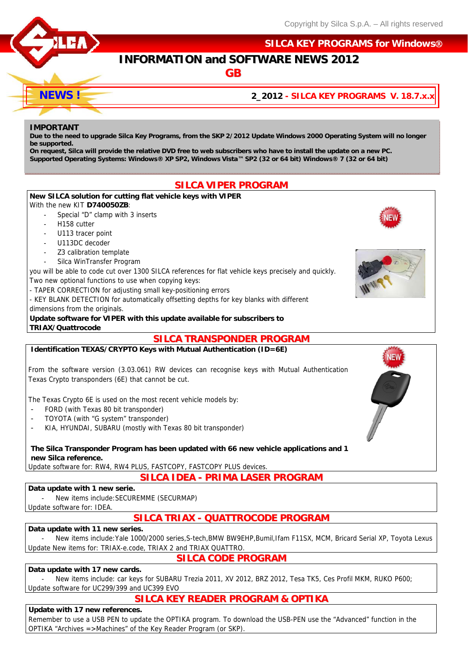

### **SILCA KEY PROGRAMS for Windows**

# **INFORMATION and SOFTWARE NEWS 2012**

**GB**

### **2\_2012 - SILCA KEY PROGRAMS V. 18.7.x.x**

#### **IMPORTANT**

**NEWS !** 

**Due to the need to upgrade Silca Key Programs, from the SKP 2/2012 Update Windows 2000 Operating System will no longer be supported.** 

**On request, Silca will provide the relative DVD free to web subscribers who have to install the update on a new PC. Supported Operating Systems: Windows® XP SP2, Windows Vista™ SP2 (32 or 64 bit) Windows® 7 (32 or 64 bit)**

## **SILCA VIPER PROGRAM**



#### **Data update with 17 new cards.**

New items include: car keys for SUBARU Trezia 2011, XV 2012, BRZ 2012, Tesa TK5, Ces Profil MKM, RUKO P600; Update software for UC299/399 and UC399 EVO

## **SILCA KEY READER PROGRAM & OPTIKA**

**SILCA CODE PROGRAM**

#### **Update with 17 new references.**

Remember to use a USB PEN to update the OPTIKA program. To download the USB-PEN use the "Advanced" function in the OPTIKA "Archives =>Machines" of the Key Reader Program (or SKP).